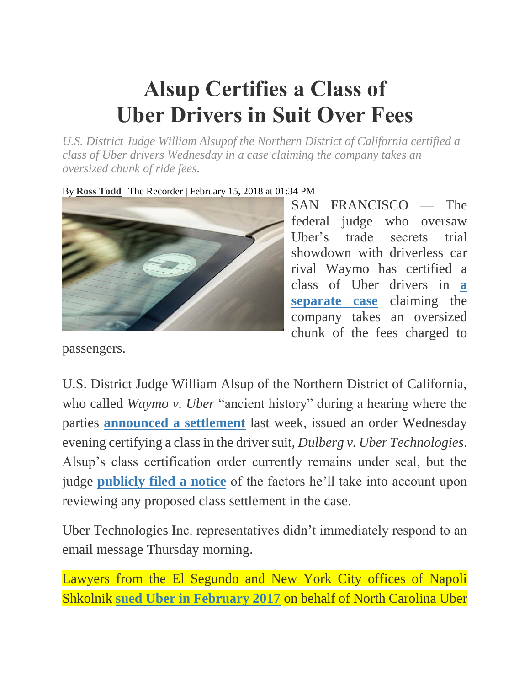## **Alsup Certifies a Class of Uber Drivers in Suit Over Fees**

*U.S. District Judge William Alsupof the Northern District of California certified a class of Uber drivers Wednesday in a case claiming the company takes an oversized chunk of ride fees.*

By **[Ross Todd](https://www.law.com/author/profile/Ross%20Todd/)** | The Recorder | February 15, 2018 at 01:34 PM



SAN FRANCISCO — The federal judge who oversaw Uber's trade secrets trial showdown with driverless car rival Waymo has certified a class of Uber drivers in **[a](https://www.law.com/therecorder/sites/therecorder/2017/08/01/judge-calls-uber-argument-counterfeit-logic-in-driver-fee-case/)  [separate case](https://www.law.com/therecorder/sites/therecorder/2017/08/01/judge-calls-uber-argument-counterfeit-logic-in-driver-fee-case/)** claiming the company takes an oversized chunk of the fees charged to

passengers.

U.S. District Judge William Alsup of the Northern District of California, who called *Waymo v. Uber* "ancient history" during a hearing where the parties **[announced a settlement](https://www.law.com/therecorder/sites/therecorder/2018/02/09/waymo-and-uber-settle-driverless-car-trade-secret-case/)** last week, issued an order Wednesday evening certifying a class in the driver suit, *Dulberg v. Uber Technologies*. Alsup's class certification order currently remains under seal, but the judge **[publicly filed a notice](https://images.law.com/contrib/content/uploads/documents/403/10403/AlsupClassNotice.pdf)** of the factors he'll take into account upon reviewing any proposed class settlement in the case.

Uber Technologies Inc. representatives didn't immediately respond to an email message Thursday morning.

Lawyers from the El Segundo and New York City offices of Napoli Shkolnik **[sued Uber in February 2017](http://images.law.com/contrib/content/uploads/sites/292/2017/08/UberPricingComplaint.pdf)** on behalf of North Carolina Uber